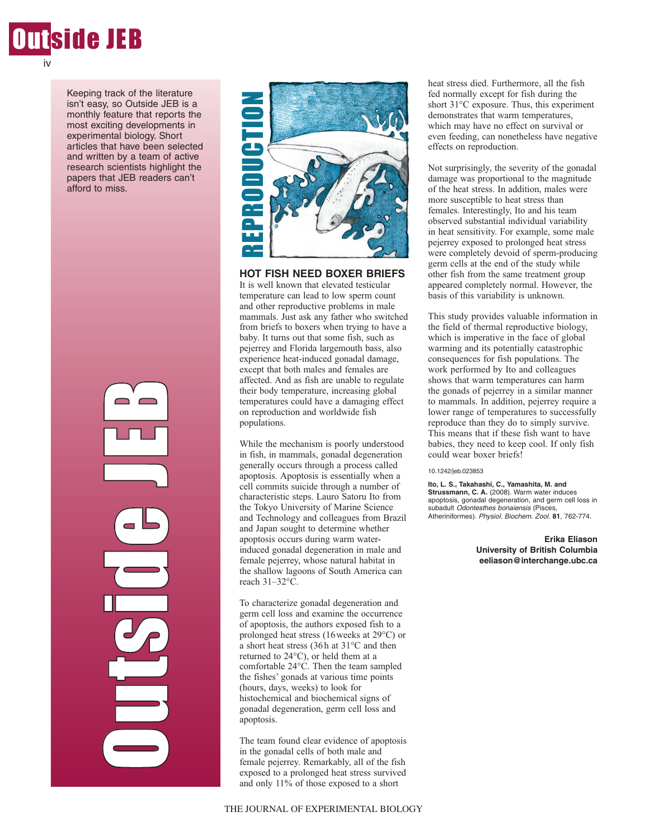

Keeping track of the literature isn't easy, so Outside JEB is a monthly feature that reports the most exciting developments in experimental biology. Short articles that have been selected and written by a team of active research scientists highlight the papers that JEB readers can't afford to miss.

> Ol<br>U t $\mathcal{C}_{\mathcal{P}}$ in 1999.<br>Provincia de la contrada de la contrada de la contrada de la contrada de la contrada de la contrada de la cont de J E**P**



**HOT FISH NEED BOXER BRIEFS** 

It is well known that elevated testicular temperature can lead to low sperm count and other reproductive problems in male mammals. Just ask any father who switched from briefs to boxers when trying to have a baby. It turns out that some fish, such as pejerrey and Florida largemouth bass, also experience heat-induced gonadal damage, except that both males and females are affected. And as fish are unable to regulate their body temperature, increasing global temperatures could have a damaging effect on reproduction and worldwide fish populations.

While the mechanism is poorly understood in fish, in mammals, gonadal degeneration generally occurs through a process called apoptosis. Apoptosis is essentially when a cell commits suicide through a number of characteristic steps. Lauro Satoru Ito from the Tokyo University of Marine Science and Technology and colleagues from Brazil and Japan sought to determine whether apoptosis occurs during warm waterinduced gonadal degeneration in male and female pejerrey, whose natural habitat in the shallow lagoons of South America can reach 31–32°C.

To characterize gonadal degeneration and germ cell loss and examine the occurrence of apoptosis, the authors exposed fish to a prolonged heat stress (16weeks at 29°C) or a short heat stress (36h at 31°C and then returned to 24°C), or held them at a comfortable 24°C. Then the team sampled the fishes' gonads at various time points (hours, days, weeks) to look for histochemical and biochemical signs of gonadal degeneration, germ cell loss and apoptosis.

The team found clear evidence of apoptosis in the gonadal cells of both male and female pejerrey. Remarkably, all of the fish exposed to a prolonged heat stress survived heat stress died. Furthermore, all the fish fed normally except for fish during the short 31°C exposure. Thus, this experiment demonstrates that warm temperatures, which may have no effect on survival or even feeding, can nonetheless have negative effects on reproduction.

Not surprisingly, the severity of the gonadal damage was proportional to the magnitude of the heat stress. In addition, males were more susceptible to heat stress than females. Interestingly, Ito and his team observed substantial individual variability in heat sensitivity. For example, some male pejerrey exposed to prolonged heat stress were completely devoid of sperm-producing germ cells at the end of the study while other fish from the same treatment group appeared completely normal. However, the basis of this variability is unknown.

This study provides valuable information in the field of thermal reproductive biology, which is imperative in the face of global warming and its potentially catastrophic consequences for fish populations. The work performed by Ito and colleagues shows that warm temperatures can harm the gonads of pejerrey in a similar manner to mammals. In addition, pejerrey require a lower range of temperatures to successfully reproduce than they do to simply survive. This means that if these fish want to have babies, they need to keep cool. If only fish could wear boxer briefs!

## 10.1242/jeb.023853

**Ito, L. S., Takahashi, C., Yamashita, M. and Strussmann, C. A.** (2008). Warm water induces apoptosis, gonadal degeneration, and germ cell loss in subadult Odontesthes bonaiensis (Pisces, Atheriniformes). Physiol. Biochem. Zool. **81**, 762-774.

> **Erika Eliason University of British Columbia eeliason@interchange.ubc.ca**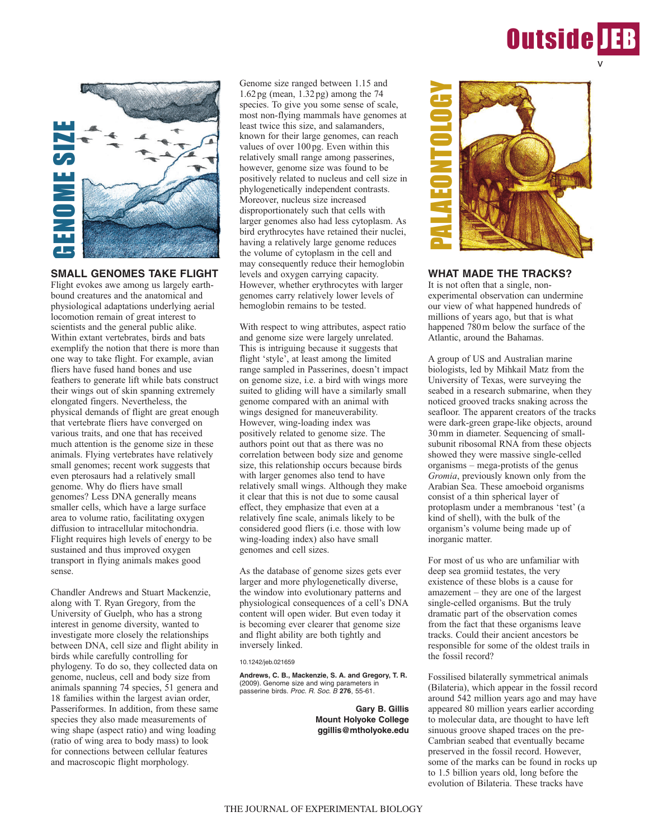



**SMALL GENOMES TAKE FLIGHT** Flight evokes awe among us largely earthbound creatures and the anatomical and physiological adaptations underlying aerial locomotion remain of great interest to scientists and the general public alike. Within extant vertebrates, birds and bats exemplify the notion that there is more than one way to take flight. For example, avian fliers have fused hand bones and use feathers to generate lift while bats construct their wings out of skin spanning extremely elongated fingers. Nevertheless, the physical demands of flight are great enough that vertebrate fliers have converged on various traits, and one that has received much attention is the genome size in these animals. Flying vertebrates have relatively small genomes; recent work suggests that even pterosaurs had a relatively small genome. Why do fliers have small genomes? Less DNA generally means smaller cells, which have a large surface area to volume ratio, facilitating oxygen diffusion to intracellular mitochondria. Flight requires high levels of energy to be sustained and thus improved oxygen transport in flying animals makes good sense.

Chandler Andrews and Stuart Mackenzie, along with T. Ryan Gregory, from the University of Guelph, who has a strong interest in genome diversity, wanted to investigate more closely the relationships between DNA, cell size and flight ability in birds while carefully controlling for phylogeny. To do so, they collected data on genome, nucleus, cell and body size from animals spanning 74 species, 51 genera and 18 families within the largest avian order, Passeriformes. In addition, from these same species they also made measurements of wing shape (aspect ratio) and wing loading (ratio of wing area to body mass) to look for connections between cellular features and macroscopic flight morphology.

Genome size ranged between 1.15 and 1.62pg (mean, 1.32pg) among the 74 species. To give you some sense of scale, most non-flying mammals have genomes at least twice this size, and salamanders, known for their large genomes, can reach values of over 100pg. Even within this relatively small range among passerines, however, genome size was found to be positively related to nucleus and cell size in phylogenetically independent contrasts. Moreover, nucleus size increased disproportionately such that cells with larger genomes also had less cytoplasm. As bird erythrocytes have retained their nuclei, having a relatively large genome reduces the volume of cytoplasm in the cell and may consequently reduce their hemoglobin levels and oxygen carrying capacity. However, whether erythrocytes with larger genomes carry relatively lower levels of hemoglobin remains to be tested.

With respect to wing attributes, aspect ratio and genome size were largely unrelated. This is intriguing because it suggests that flight 'style', at least among the limited range sampled in Passerines, doesn't impact on genome size, i.e. a bird with wings more suited to gliding will have a similarly small genome compared with an animal with wings designed for maneuverability. However, wing-loading index was positively related to genome size. The authors point out that as there was no correlation between body size and genome size, this relationship occurs because birds with larger genomes also tend to have relatively small wings. Although they make it clear that this is not due to some causal effect, they emphasize that even at a relatively fine scale, animals likely to be considered good fliers (i.e. those with low wing-loading index) also have small genomes and cell sizes.

As the database of genome sizes gets ever larger and more phylogenetically diverse, the window into evolutionary patterns and physiological consequences of a cell's DNA content will open wider. But even today it is becoming ever clearer that genome size and flight ability are both tightly and inversely linked.

10.1242/jeb.021659

**Andrews, C. B., Mackenzie, S. A. and Gregory, T. R.** (2009). Genome size and wing parameters in passerine birds. Proc. R. Soc. B **276**, 55-61.

> **Gary B. Gillis Mount Holyoke College ggillis@mtholyoke.edu**



**WHAT MADE THE TRACKS?**

It is not often that a single, nonexperimental observation can undermine our view of what happened hundreds of millions of years ago, but that is what happened 780m below the surface of the Atlantic, around the Bahamas.

A group of US and Australian marine biologists, led by Mihkail Matz from the University of Texas, were surveying the seabed in a research submarine, when they noticed grooved tracks snaking across the seafloor. The apparent creators of the tracks were dark-green grape-like objects, around 30mm in diameter. Sequencing of smallsubunit ribosomal RNA from these objects showed they were massive single-celled organisms – mega-protists of the genus *Gromia*, previously known only from the Arabian Sea. These amoeboid organisms consist of a thin spherical layer of protoplasm under a membranous 'test' (a kind of shell), with the bulk of the organism's volume being made up of inorganic matter.

For most of us who are unfamiliar with deep sea gromiid testates, the very existence of these blobs is a cause for amazement – they are one of the largest single-celled organisms. But the truly dramatic part of the observation comes from the fact that these organisms leave tracks. Could their ancient ancestors be responsible for some of the oldest trails in the fossil record?

Fossilised bilaterally symmetrical animals (Bilateria), which appear in the fossil record around 542 million years ago and may have appeared 80 million years earlier according to molecular data, are thought to have left sinuous groove shaped traces on the pre-Cambrian seabed that eventually became preserved in the fossil record. However, some of the marks can be found in rocks up to 1.5 billion years old, long before the evolution of Bilateria. These tracks have